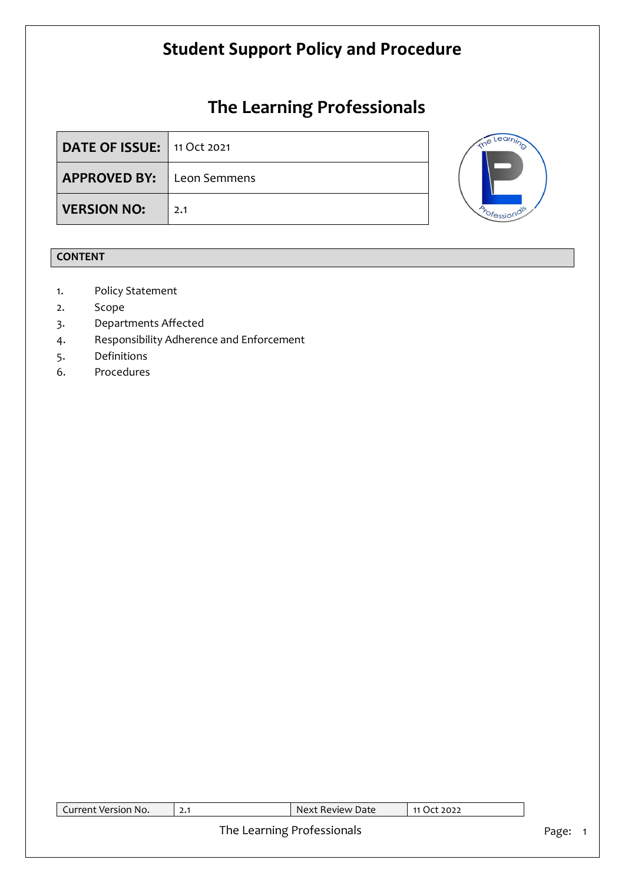# **The Learning Professionals**

| <b>DATE OF ISSUE:</b> 11 Oct 2021 |     |  |
|-----------------------------------|-----|--|
| <b>APPROVED BY:</b> Leon Semmens  |     |  |
| <b>VERSION NO:</b>                | 2.1 |  |



### **CONTENT**

- 1. Policy Statement
- 2. Scope
- 3. Departments Affected
- 4. Responsibility Adherence and Enforcement
- 5. Definitions
- 6. Procedures

| Current Version No.<br>Next Review Date<br>11 Oct 2022 |  |  |  |  |
|--------------------------------------------------------|--|--|--|--|
| The Learning Professionals                             |  |  |  |  |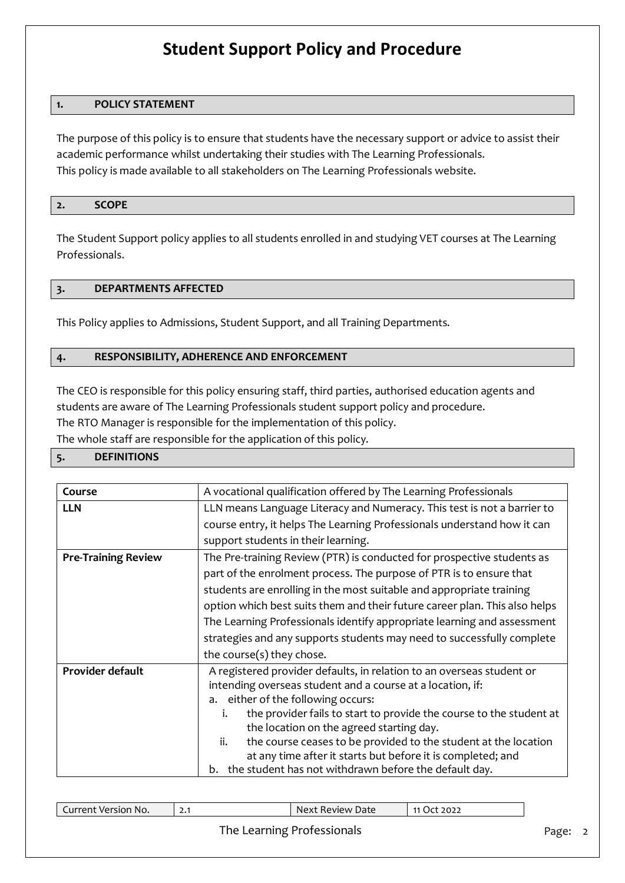#### **1. POLICY STATEMENT**

The purpose of this policy is to ensure that students have the necessary support or advice to assist their academic performance whilst undertaking their studies with The Learning Professionals. This policy is made available to all stakeholders on The Learning Professionals website.

#### **2. SCOPE**

The Student Support policy applies to all students enrolled in and studying VET courses at The Learning Professionals.

#### **3. DEPARTMENTS AFFECTED**

This Policy applies to Admissions, Student Support, and all Training Departments.

#### **4. RESPONSIBILITY, ADHERENCE AND ENFORCEMENT**

The CEO is responsible for this policy ensuring staff, third parties, authorised education agents and students are aware of The Learning Professionals student support policy and procedure. The RTO Manager is responsible for the implementation of this policy.

The whole staff are responsible for the application of this policy.

#### **5. DEFINITIONS**

| Course                     | A vocational qualification offered by The Learning Professionals           |  |  |  |  |
|----------------------------|----------------------------------------------------------------------------|--|--|--|--|
| <b>LLN</b>                 | LLN means Language Literacy and Numeracy. This test is not a barrier to    |  |  |  |  |
|                            | course entry, it helps The Learning Professionals understand how it can    |  |  |  |  |
|                            | support students in their learning.                                        |  |  |  |  |
| <b>Pre-Training Review</b> | The Pre-training Review (PTR) is conducted for prospective students as     |  |  |  |  |
|                            | part of the enrolment process. The purpose of PTR is to ensure that        |  |  |  |  |
|                            | students are enrolling in the most suitable and appropriate training       |  |  |  |  |
|                            | option which best suits them and their future career plan. This also helps |  |  |  |  |
|                            | The Learning Professionals identify appropriate learning and assessment    |  |  |  |  |
|                            | strategies and any supports students may need to successfully complete     |  |  |  |  |
|                            | the course(s) they chose.                                                  |  |  |  |  |
| Provider default           | A registered provider defaults, in relation to an overseas student or      |  |  |  |  |
|                            | intending overseas student and a course at a location, if:                 |  |  |  |  |
|                            | a. either of the following occurs:                                         |  |  |  |  |
|                            | the provider fails to start to provide the course to the student at<br>i.  |  |  |  |  |
|                            | the location on the agreed starting day.                                   |  |  |  |  |
|                            | the course ceases to be provided to the student at the location<br>ii.     |  |  |  |  |
|                            | at any time after it starts but before it is completed; and                |  |  |  |  |
|                            | b. the student has not withdrawn before the default day.                   |  |  |  |  |

| Current Version No.       |  | Next Review Date | 11 Oct 2022 |
|---------------------------|--|------------------|-------------|
| The Loaming Drofeccionals |  |                  |             |

#### The Learning Professionals Page: 2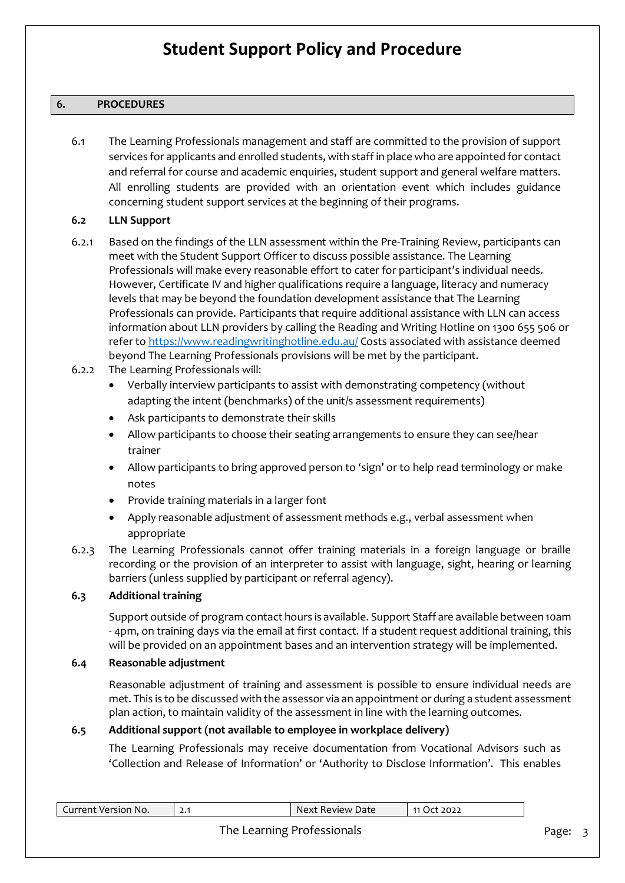#### **6. PROCEDURES**

6.1 The Learning Professionals management and staff are committed to the provision of support services for applicants and enrolled students, with staff in place who are appointed for contact and referral for course and academic enquiries, student support and general welfare matters. All enrolling students are provided with an orientation event which includes guidance concerning student support services at the beginning of their programs.

#### **6.2 LLN Support**

- 6.2.1 Based on the findings of the LLN assessment within the Pre-Training Review, participants can meet with the Student Support Officer to discuss possible assistance. The Learning Professionals will make every reasonable effort to cater for participant's individual needs. However, Certificate IV and higher qualifications require a language, literacy and numeracy levels that may be beyond the foundation development assistance that The Learning Professionals can provide. Participants that require additional assistance with LLN can access information about LLN providers by calling the Reading and Writing Hotline on 1300 655 506 or refer t[o https://www.readingwritinghotline.edu.au/](https://www.readingwritinghotline.edu.au/) Costs associated with assistance deemed beyond The Learning Professionals provisions will be met by the participant.
- 6.2.2 The Learning Professionals will:
	- Verbally interview participants to assist with demonstrating competency (without adapting the intent (benchmarks) of the unit/s assessment requirements)
	- Ask participants to demonstrate their skills
	- Allow participants to choose their seating arrangements to ensure they can see/hear trainer
	- Allow participants to bring approved person to 'sign' or to help read terminology or make notes
	- Provide training materials in a larger font
	- Apply reasonable adjustment of assessment methods e.g., verbal assessment when appropriate
- 6.2.3 The Learning Professionals cannot offer training materials in a foreign language or braille recording or the provision of an interpreter to assist with language, sight, hearing or learning barriers (unless supplied by participant or referral agency).

#### **6.3 Additional training**

Support outside of program contact hours is available. Support Staff are available between 10am - 4pm, on training days via the email at first contact. If a student request additional training, this will be provided on an appointment bases and an intervention strategy will be implemented.

#### **6.4 Reasonable adjustment**

Reasonable adjustment of training and assessment is possible to ensure individual needs are met. This is to be discussed with the assessor via an appointment or during a student assessment plan action, to maintain validity of the assessment in line with the learning outcomes.

#### **6.5 Additional support (not available to employee in workplace delivery)**

The Learning Professionals may receive documentation from Vocational Advisors such as 'Collection and Release of Information' or 'Authority to Disclose Information'. This enables

#### The Learning Professionals and a state of the Page: 3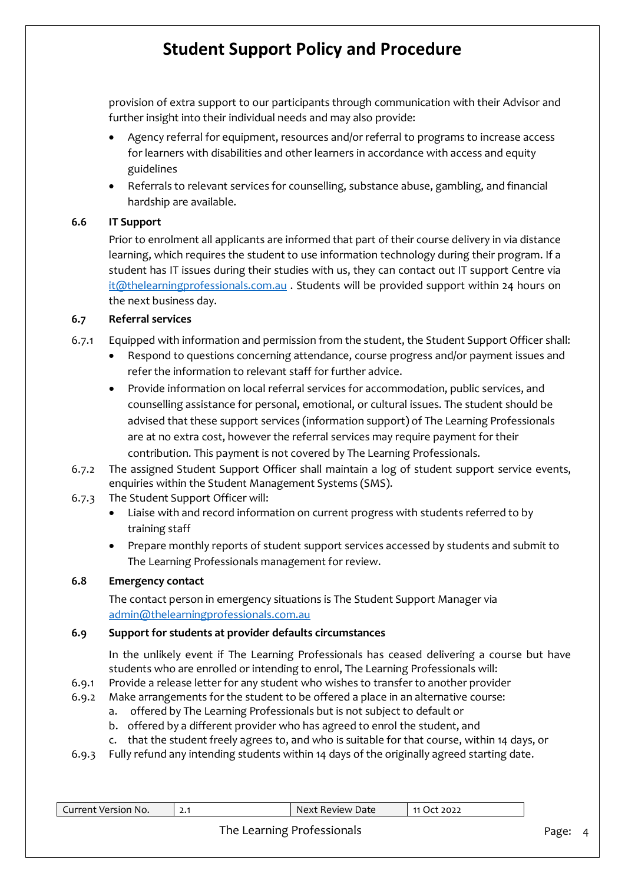provision of extra support to our participants through communication with their Advisor and further insight into their individual needs and may also provide:

- Agency referral for equipment, resources and/or referral to programs to increase access for learners with disabilities and other learners in accordance with access and equity guidelines
- Referrals to relevant services for counselling, substance abuse, gambling, and financial hardship are available.

#### **6.6 IT Support**

Prior to enrolment all applicants are informed that part of their course delivery in via distance learning, which requires the student to use information technology during their program. If a student has IT issues during their studies with us, they can contact out IT support Centre via [it@thelearningprofessionals.com.au](mailto:it@thelearningprofessionals.com.au) . Students will be provided support within 24 hours on the next business day.

#### **6.7 Referral services**

- 6.7.1 Equipped with information and permission from the student, the Student Support Officer shall:
	- Respond to questions concerning attendance, course progress and/or payment issues and refer the information to relevant staff for further advice.
	- Provide information on local referral services for accommodation, public services, and counselling assistance for personal, emotional, or cultural issues. The student should be advised that these support services (information support) of The Learning Professionals are at no extra cost, however the referral services may require payment for their contribution. This payment is not covered by The Learning Professionals.
- 6.7.2 The assigned Student Support Officer shall maintain a log of student support service events, enquiries within the Student Management Systems (SMS).
- 6.7.3 The Student Support Officer will:
	- Liaise with and record information on current progress with students referred to by training staff
	- Prepare monthly reports of student support services accessed by students and submit to The Learning Professionals management for review.

#### **6.8 Emergency contact**

The contact person in emergency situations is The Student Support Manager via [admin@thelearningprofessionals.com.au](mailto:admin@thelearningprofessionals.com.au)

#### **6.9 Support for students at provider defaults circumstances**

In the unlikely event if The Learning Professionals has ceased delivering a course but have students who are enrolled or intending to enrol, The Learning Professionals will:

- 6.9.1 Provide a release letter for any student who wishes to transfer to another provider
- 6.9.2 Make arrangements for the student to be offered a place in an alternative course:
	- a. offered by The Learning Professionals but is not subject to default or
	- b. offered by a different provider who has agreed to enrol the student, and
	- c. that the student freely agrees to, and who is suitable for that course, within 14 days, or
- 6.9.3 Fully refund any intending students within 14 days of the originally agreed starting date.

| Current Version No. | ا • ک | Next Review Date | 11 Oct 2022 |
|---------------------|-------|------------------|-------------|
|                     |       |                  |             |

### The Learning Professionals **Page: 4** Page: 4